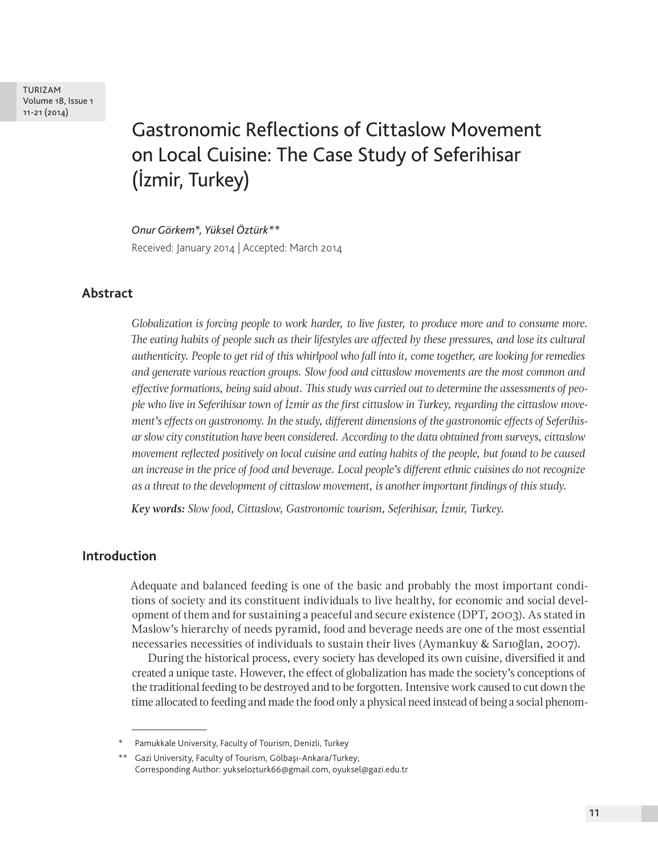TURIZAM Volume 18, Issue 1 11-21 (2014)

# Gastronomic Reflections of Cittaslow Movement on Local Cuisine: The Case Study of Seferihisar (İzmir, Turkey)

*Onur Görkem\*, Yüksel Öztürk\*\**

Received: January 2014 | Accepted: March 2014

## **Abstract**

*Globalization is forcing people to work harder, to live faster, to produce more and to consume more. The eating habits of people such as their lifestyles are affected by these pressures, and lose its cultural authenticity. People to get rid of this whirlpool who fall into it, come together, are looking for remedies and generate various reaction groups. Slow food and cittaslow movements are the most common and effective formations, being said about. This study was carried out to determine the assessments of people who live in Seferihisar town of İzmir as the first cittaslow in Turkey, regarding the cittaslow movement's effects on gastronomy. In the study, different dimensions of the gastronomic effects of Seferihisar slow city constitution have been considered. According to the data obtained from surveys, cittaslow movement reflected positively on local cuisine and eating habits of the people, but found to be caused an increase in the price of food and beverage. Local people's different ethnic cuisines do not recognize as a threat to the development of cittaslow movement, is another important findings of this study.* 

*Key words: Slow food, Cittaslow, Gastronomic tourism, Seferihisar, İzmir, Turkey.*

## **Introduction**

Adequate and balanced feeding is one of the basic and probably the most important conditions of society and its constituent individuals to live healthy, for economic and social development of them and for sustaining a peaceful and secure existence (DPT, 2003). As stated in Maslow's hierarchy of needs pyramid, food and beverage needs are one of the most essential necessaries necessities of individuals to sustain their lives (Aymankuy & Sarıoğlan, 2007).

During the historical process, every society has developed its own cuisine, diversified it and created a unique taste. However, the effect of globalization has made the society's conceptions of the traditional feeding to be destroyed and to be forgotten. Intensive work caused to cut down the time allocated to feeding and made the food only a physical need instead of being a social phenom-

Pamukkale University, Faculty of Tourism, Denizli, Turkey

<sup>\*\*</sup> Gazi University, Faculty of Tourism, Gölbaşı-Ankara/Turkey; Corresponding Author: yukselozturk66@gmail.com, oyuksel@gazi.edu.tr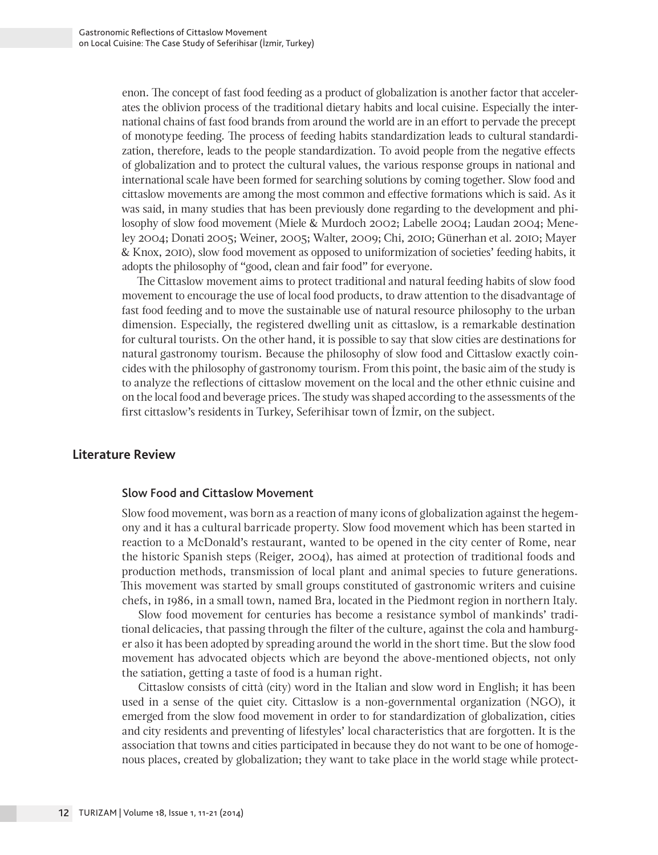enon. The concept of fast food feeding as a product of globalization is another factor that accelerates the oblivion process of the traditional dietary habits and local cuisine. Especially the international chains of fast food brands from around the world are in an effort to pervade the precept of monotype feeding. The process of feeding habits standardization leads to cultural standardization, therefore, leads to the people standardization. To avoid people from the negative effects of globalization and to protect the cultural values, the various response groups in national and international scale have been formed for searching solutions by coming together. Slow food and cittaslow movements are among the most common and effective formations which is said. As it was said, in many studies that has been previously done regarding to the development and philosophy of slow food movement (Miele & Murdoch 2002; Labelle 2004; Laudan 2004; Meneley 2004; Donati 2005; Weiner, 2005; Walter, 2009; Chi, 2010; Günerhan et al. 2010; Mayer & Knox, 2010), slow food movement as opposed to uniformization of societies' feeding habits, it adopts the philosophy of "good, clean and fair food" for everyone.

The Cittaslow movement aims to protect traditional and natural feeding habits of slow food movement to encourage the use of local food products, to draw attention to the disadvantage of fast food feeding and to move the sustainable use of natural resource philosophy to the urban dimension. Especially, the registered dwelling unit as cittaslow, is a remarkable destination for cultural tourists. On the other hand, it is possible to say that slow cities are destinations for natural gastronomy tourism. Because the philosophy of slow food and Cittaslow exactly coincides with the philosophy of gastronomy tourism. From this point, the basic aim of the study is to analyze the reflections of cittaslow movement on the local and the other ethnic cuisine and on the local food and beverage prices. The study was shaped according to the assessments of the first cittaslow's residents in Turkey, Seferihisar town of İzmir, on the subject.

## **Literature Review**

#### Slow Food and Cittaslow Movement

Slow food movement, was born as a reaction of many icons of globalization against the hegemony and it has a cultural barricade property. Slow food movement which has been started in reaction to a McDonald's restaurant, wanted to be opened in the city center of Rome, near the historic Spanish steps (Reiger, 2004), has aimed at protection of traditional foods and production methods, transmission of local plant and animal species to future generations. This movement was started by small groups constituted of gastronomic writers and cuisine chefs, in 1986, in a small town, named Bra, located in the Piedmont region in northern Italy.

Slow food movement for centuries has become a resistance symbol of mankinds' traditional delicacies, that passing through the filter of the culture, against the cola and hamburger also it has been adopted by spreading around the world in the short time. But the slow food movement has advocated objects which are beyond the above-mentioned objects, not only the satiation, getting a taste of food is a human right.

Cittaslow consists of città (city) word in the Italian and slow word in English; it has been used in a sense of the quiet city. Cittaslow is a non-governmental organization (NGO), it emerged from the slow food movement in order to for standardization of globalization, cities and city residents and preventing of lifestyles' local characteristics that are forgotten. It is the association that towns and cities participated in because they do not want to be one of homogenous places, created by globalization; they want to take place in the world stage while protect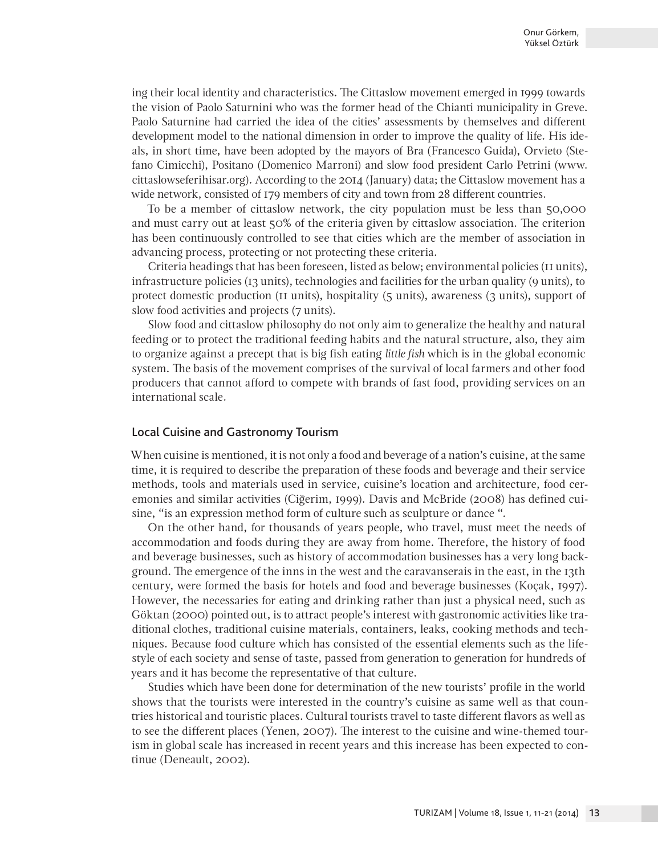ing their local identity and characteristics. The Cittaslow movement emerged in 1999 towards the vision of Paolo Saturnini who was the former head of the Chianti municipality in Greve. Paolo Saturnine had carried the idea of the cities' assessments by themselves and different development model to the national dimension in order to improve the quality of life. His ideals, in short time, have been adopted by the mayors of Bra (Francesco Guida), Orvieto (Stefano Cimicchi), Positano (Domenico Marroni) and slow food president Carlo Petrini (www. cittaslowseferihisar.org). According to the 2014 (January) data; the Cittaslow movement has a wide network, consisted of 179 members of city and town from 28 different countries.

To be a member of cittaslow network, the city population must be less than 50,000 and must carry out at least 50% of the criteria given by cittaslow association. The criterion has been continuously controlled to see that cities which are the member of association in advancing process, protecting or not protecting these criteria.

Criteria headings that has been foreseen, listed as below; environmental policies (11 units), infrastructure policies (13 units), technologies and facilities for the urban quality (9 units), to protect domestic production (11 units), hospitality (5 units), awareness (3 units), support of slow food activities and projects (7 units).

Slow food and cittaslow philosophy do not only aim to generalize the healthy and natural feeding or to protect the traditional feeding habits and the natural structure, also, they aim to organize against a precept that is big fish eating *little fish* which is in the global economic system. The basis of the movement comprises of the survival of local farmers and other food producers that cannot afford to compete with brands of fast food, providing services on an international scale.

#### Local Cuisine and Gastronomy Tourism

When cuisine is mentioned, it is not only a food and beverage of a nation's cuisine, at the same time, it is required to describe the preparation of these foods and beverage and their service methods, tools and materials used in service, cuisine's location and architecture, food ceremonies and similar activities (Ciğerim, 1999). Davis and McBride (2008) has defined cuisine, "is an expression method form of culture such as sculpture or dance ".

On the other hand, for thousands of years people, who travel, must meet the needs of accommodation and foods during they are away from home. Therefore, the history of food and beverage businesses, such as history of accommodation businesses has a very long background. The emergence of the inns in the west and the caravanserais in the east, in the 13th century, were formed the basis for hotels and food and beverage businesses (Koçak, 1997). However, the necessaries for eating and drinking rather than just a physical need, such as Göktan (2000) pointed out, is to attract people's interest with gastronomic activities like traditional clothes, traditional cuisine materials, containers, leaks, cooking methods and techniques. Because food culture which has consisted of the essential elements such as the lifestyle of each society and sense of taste, passed from generation to generation for hundreds of years and it has become the representative of that culture.

Studies which have been done for determination of the new tourists' profile in the world shows that the tourists were interested in the country's cuisine as same well as that countries historical and touristic places. Cultural tourists travel to taste different flavors as well as to see the different places (Yenen, 2007). The interest to the cuisine and wine-themed tourism in global scale has increased in recent years and this increase has been expected to continue (Deneault, 2002).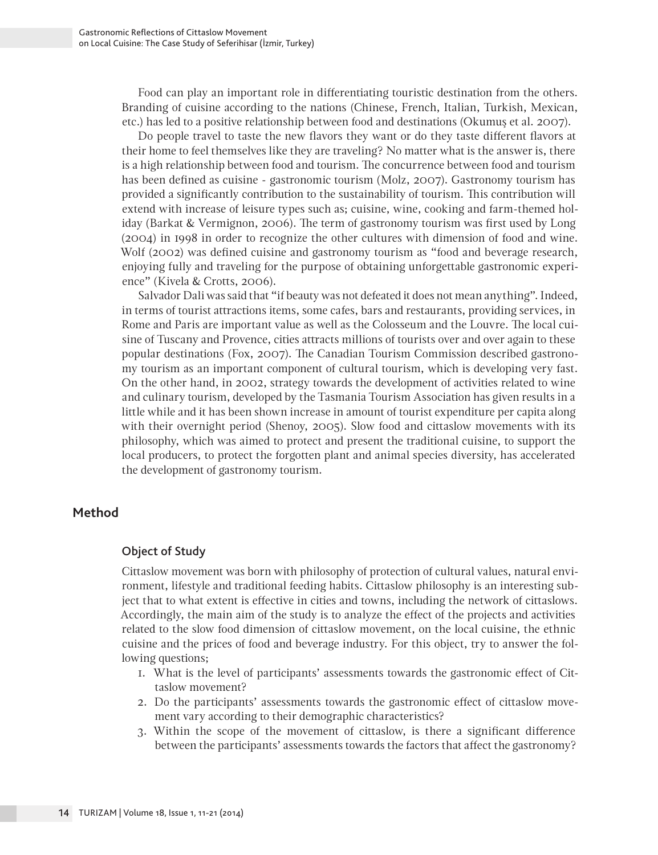Food can play an important role in differentiating touristic destination from the others. Branding of cuisine according to the nations (Chinese, French, Italian, Turkish, Mexican, etc.) has led to a positive relationship between food and destinations (Okumuş et al. 2007).

Do people travel to taste the new flavors they want or do they taste different flavors at their home to feel themselves like they are traveling? No matter what is the answer is, there is a high relationship between food and tourism. The concurrence between food and tourism has been defined as cuisine - gastronomic tourism (Molz, 2007). Gastronomy tourism has provided a significantly contribution to the sustainability of tourism. This contribution will extend with increase of leisure types such as; cuisine, wine, cooking and farm-themed holiday (Barkat & Vermignon, 2006). The term of gastronomy tourism was first used by Long (2004) in 1998 in order to recognize the other cultures with dimension of food and wine. Wolf (2002) was defined cuisine and gastronomy tourism as "food and beverage research, enjoying fully and traveling for the purpose of obtaining unforgettable gastronomic experience" (Kivela & Crotts, 2006).

Salvador Dali was said that "if beauty was not defeated it does not mean anything". Indeed, in terms of tourist attractions items, some cafes, bars and restaurants, providing services, in Rome and Paris are important value as well as the Colosseum and the Louvre. The local cuisine of Tuscany and Provence, cities attracts millions of tourists over and over again to these popular destinations (Fox, 2007). The Canadian Tourism Commission described gastronomy tourism as an important component of cultural tourism, which is developing very fast. On the other hand, in 2002, strategy towards the development of activities related to wine and culinary tourism, developed by the Tasmania Tourism Association has given results in a little while and it has been shown increase in amount of tourist expenditure per capita along with their overnight period (Shenoy, 2005). Slow food and cittaslow movements with its philosophy, which was aimed to protect and present the traditional cuisine, to support the local producers, to protect the forgotten plant and animal species diversity, has accelerated the development of gastronomy tourism.

## **Method**

## Object of Study

Cittaslow movement was born with philosophy of protection of cultural values, natural environment, lifestyle and traditional feeding habits. Cittaslow philosophy is an interesting subject that to what extent is effective in cities and towns, including the network of cittaslows. Accordingly, the main aim of the study is to analyze the effect of the projects and activities related to the slow food dimension of cittaslow movement, on the local cuisine, the ethnic cuisine and the prices of food and beverage industry. For this object, try to answer the following questions;

- 1. What is the level of participants' assessments towards the gastronomic effect of Cittaslow movement?
- 2. Do the participants' assessments towards the gastronomic effect of cittaslow movement vary according to their demographic characteristics?
- 3. Within the scope of the movement of cittaslow, is there a significant difference between the participants' assessments towards the factors that affect the gastronomy?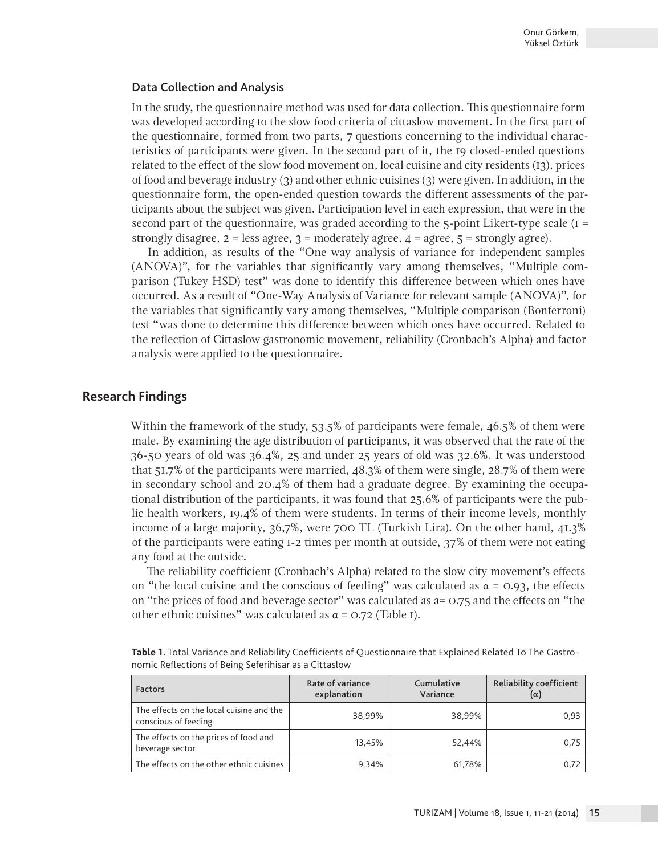#### Data Collection and Analysis

In the study, the questionnaire method was used for data collection. This questionnaire form was developed according to the slow food criteria of cittaslow movement. In the first part of the questionnaire, formed from two parts, 7 questions concerning to the individual characteristics of participants were given. In the second part of it, the 19 closed-ended questions related to the effect of the slow food movement on, local cuisine and city residents (13), prices of food and beverage industry (3) and other ethnic cuisines (3) were given. In addition, in the questionnaire form, the open-ended question towards the different assessments of the participants about the subject was given. Participation level in each expression, that were in the second part of the questionnaire, was graded according to the  $5$ -point Likert-type scale ( $I =$ strongly disagree,  $2 =$  less agree,  $3 =$  moderately agree,  $4 =$  agree,  $5 =$  strongly agree).

In addition, as results of the "One way analysis of variance for independent samples (ANOVA)", for the variables that significantly vary among themselves, "Multiple comparison (Tukey HSD) test" was done to identify this difference between which ones have occurred. As a result of "One-Way Analysis of Variance for relevant sample (ANOVA)", for the variables that significantly vary among themselves, "Multiple comparison (Bonferroni) test "was done to determine this difference between which ones have occurred. Related to the reflection of Cittaslow gastronomic movement, reliability (Cronbach's Alpha) and factor analysis were applied to the questionnaire.

## **Research Findings**

Within the framework of the study, 53.5% of participants were female, 46.5% of them were male. By examining the age distribution of participants, it was observed that the rate of the 36-50 years of old was 36.4%, 25 and under 25 years of old was 32.6%. It was understood that 51.7% of the participants were married, 48.3% of them were single, 28.7% of them were in secondary school and 20.4% of them had a graduate degree. By examining the occupational distribution of the participants, it was found that 25.6% of participants were the public health workers, 19.4% of them were students. In terms of their income levels, monthly income of a large majority, 36,7%, were 700 TL (Turkish Lira). On the other hand, 41.3% of the participants were eating 1-2 times per month at outside, 37% of them were not eating any food at the outside.

The reliability coefficient (Cronbach's Alpha) related to the slow city movement's effects on "the local cuisine and the conscious of feeding" was calculated as  $\alpha = 0.93$ , the effects on "the prices of food and beverage sector" was calculated as a= 0.75 and the effects on "the other ethnic cuisines" was calculated as  $\alpha$  = 0.72 (Table 1).

| <b>Factors</b>                                                   | Rate of variance<br>explanation | Cumulative<br>Variance | Reliability coefficient<br>(α) |  |
|------------------------------------------------------------------|---------------------------------|------------------------|--------------------------------|--|
| The effects on the local cuisine and the<br>conscious of feeding | 38.99%                          | 38.99%                 | 0.93                           |  |
| The effects on the prices of food and<br>beverage sector         | 13.45%                          | 52.44%                 | 0,75                           |  |
| The effects on the other ethnic cuisines                         | 9.34%                           | 61,78%                 | 0,72                           |  |

**Table 1.** Total Variance and Reliability Coefficients of Questionnaire that Explained Related To The Gastronomic Reflections of Being Seferihisar as a Cittaslow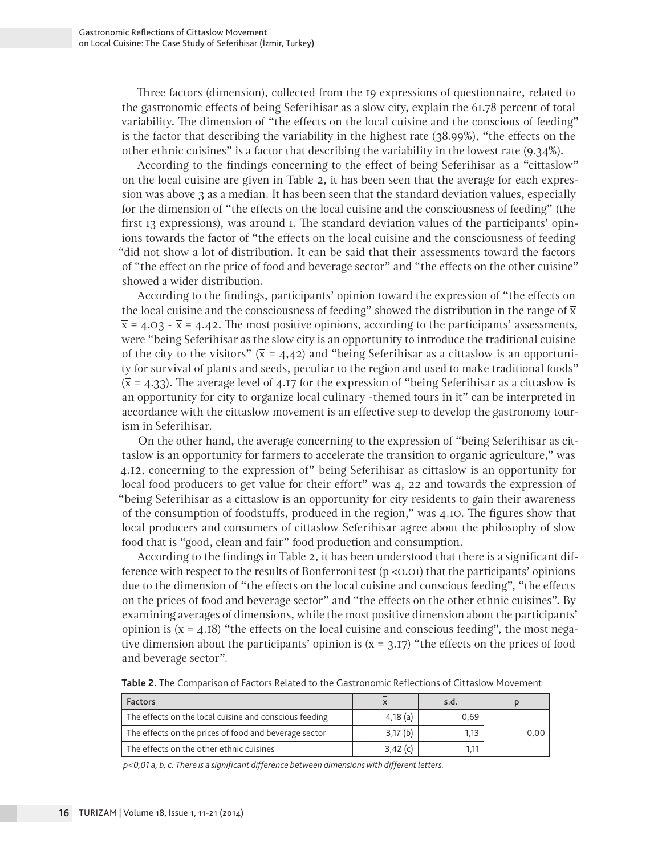Three factors (dimension), collected from the 19 expressions of questionnaire, related to the gastronomic effects of being Seferihisar as a slow city, explain the 61.78 percent of total variability. The dimension of "the effects on the local cuisine and the conscious of feeding" is the factor that describing the variability in the highest rate (38.99%), "the effects on the other ethnic cuisines" is a factor that describing the variability in the lowest rate (9.34%).

According to the findings concerning to the effect of being Seferihisar as a "cittaslow" on the local cuisine are given in Table 2, it has been seen that the average for each expression was above 3 as a median. It has been seen that the standard deviation values, especially for the dimension of "the effects on the local cuisine and the consciousness of feeding" (the first 13 expressions), was around 1. The standard deviation values of the participants' opinions towards the factor of "the effects on the local cuisine and the consciousness of feeding "did not show a lot of distribution. It can be said that their assessments toward the factors of "the effect on the price of food and beverage sector" and "the effects on the other cuisine" showed a wider distribution.

According to the findings, participants' opinion toward the expression of "the effects on the local cuisine and the consciousness of feeding" showed the distribution in the range of  $\bar{x}$  $\bar{x}$  = 4.03 -  $\bar{x}$  = 4.42. The most positive opinions, according to the participants' assessments, were "being Seferihisar as the slow city is an opportunity to introduce the traditional cuisine of the city to the visitors"  $(\bar{x} = 4.42)$  and "being Seferihisar as a cittaslow is an opportunity for survival of plants and seeds, peculiar to the region and used to make traditional foods"  $(\bar{x} = 4.33)$ . The average level of 4.17 for the expression of "being Seferihisar as a cittaslow is an opportunity for city to organize local culinary -themed tours in it" can be interpreted in accordance with the cittaslow movement is an effective step to develop the gastronomy tourism in Seferihisar.

On the other hand, the average concerning to the expression of "being Seferihisar as cittaslow is an opportunity for farmers to accelerate the transition to organic agriculture," was 4.12, concerning to the expression of" being Seferihisar as cittaslow is an opportunity for local food producers to get value for their effort" was 4, 22 and towards the expression of "being Seferihisar as a cittaslow is an opportunity for city residents to gain their awareness of the consumption of foodstuffs, produced in the region," was 4.10. The figures show that local producers and consumers of cittaslow Seferihisar agree about the philosophy of slow food that is "good, clean and fair" food production and consumption.

According to the findings in Table 2, it has been understood that there is a significant difference with respect to the results of Bonferroni test (p <0.01) that the participants' opinions due to the dimension of "the effects on the local cuisine and conscious feeding", "the effects on the prices of food and beverage sector" and "the effects on the other ethnic cuisines". By examining averages of dimensions, while the most positive dimension about the participants' opinion is  $(\bar{x} = 4.18)$  "the effects on the local cuisine and conscious feeding", the most negative dimension about the participants' opinion is  $(\bar{x} = 3.17)$  "the effects on the prices of food and beverage sector".

**Table 2.** The Comparison of Factors Related to the Gastronomic Reflections of Cittaslow Movement

| <b>Factors</b>                                         |            | s.d. |       |
|--------------------------------------------------------|------------|------|-------|
| The effects on the local cuisine and conscious feeding | $4,18$ (a) | 0.69 |       |
| The effects on the prices of food and beverage sector  | 3,17(b)    | 1.13 | 0.001 |
| The effects on the other ethnic cuisines               | $3,42$ (c) | l 11 |       |

 *p<0,01 a, b, c: There is a significant difference between dimensions with different letters.*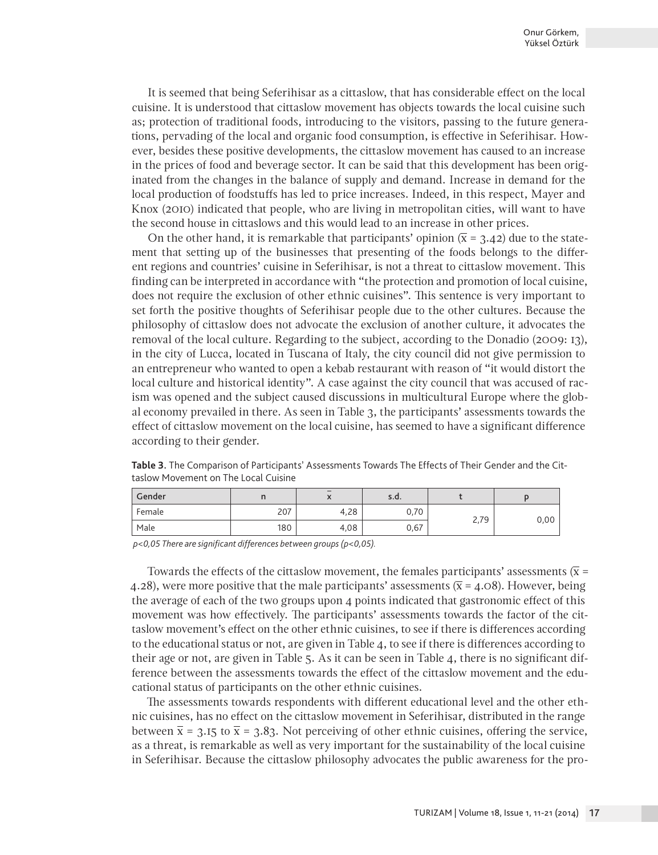It is seemed that being Seferihisar as a cittaslow, that has considerable effect on the local cuisine. It is understood that cittaslow movement has objects towards the local cuisine such as; protection of traditional foods, introducing to the visitors, passing to the future generations, pervading of the local and organic food consumption, is effective in Seferihisar. However, besides these positive developments, the cittaslow movement has caused to an increase in the prices of food and beverage sector. It can be said that this development has been originated from the changes in the balance of supply and demand. Increase in demand for the local production of foodstuffs has led to price increases. Indeed, in this respect, Mayer and Knox (2010) indicated that people, who are living in metropolitan cities, will want to have the second house in cittaslows and this would lead to an increase in other prices.

On the other hand, it is remarkable that participants' opinion  $(\bar{x} = 3.42)$  due to the statement that setting up of the businesses that presenting of the foods belongs to the different regions and countries' cuisine in Seferihisar, is not a threat to cittaslow movement. This finding can be interpreted in accordance with "the protection and promotion of local cuisine, does not require the exclusion of other ethnic cuisines". This sentence is very important to set forth the positive thoughts of Seferihisar people due to the other cultures. Because the philosophy of cittaslow does not advocate the exclusion of another culture, it advocates the removal of the local culture. Regarding to the subject, according to the Donadio (2009: 13), in the city of Lucca, located in Tuscana of Italy, the city council did not give permission to an entrepreneur who wanted to open a kebab restaurant with reason of "it would distort the local culture and historical identity". A case against the city council that was accused of racism was opened and the subject caused discussions in multicultural Europe where the global economy prevailed in there. As seen in Table 3, the participants' assessments towards the effect of cittaslow movement on the local cuisine, has seemed to have a significant difference according to their gender.

**Table 3.** The Comparison of Participants' Assessments Towards The Effects of Their Gender and the Cittaslow Movement on The Local Cuisine

| Gender | . . | $\lambda$ | s.d. |                  |      |
|--------|-----|-----------|------|------------------|------|
| Female | 207 | 4,28      | 0,70 | 27Q<br>L, I<br>╯ |      |
| Male   | 180 | 4,08      | 0,67 |                  | 0,00 |

 *p<0,05 There are significant differences between groups (p<0,05).*

Towards the effects of the cittaslow movement, the females participants' assessments ( $\bar{x}$  = 4.28), were more positive that the male participants' assessments ( $\bar{x}$  = 4.08). However, being the average of each of the two groups upon 4 points indicated that gastronomic effect of this movement was how effectively. The participants' assessments towards the factor of the cittaslow movement's effect on the other ethnic cuisines, to see if there is differences according to the educational status or not, are given in Table 4, to see if there is differences according to their age or not, are given in Table 5. As it can be seen in Table 4, there is no significant difference between the assessments towards the effect of the cittaslow movement and the educational status of participants on the other ethnic cuisines.

The assessments towards respondents with different educational level and the other ethnic cuisines, has no effect on the cittaslow movement in Seferihisar, distributed in the range between  $\bar{x}$  = 3.15 to  $\bar{x}$  = 3.83. Not perceiving of other ethnic cuisines, offering the service, as a threat, is remarkable as well as very important for the sustainability of the local cuisine in Seferihisar. Because the cittaslow philosophy advocates the public awareness for the pro-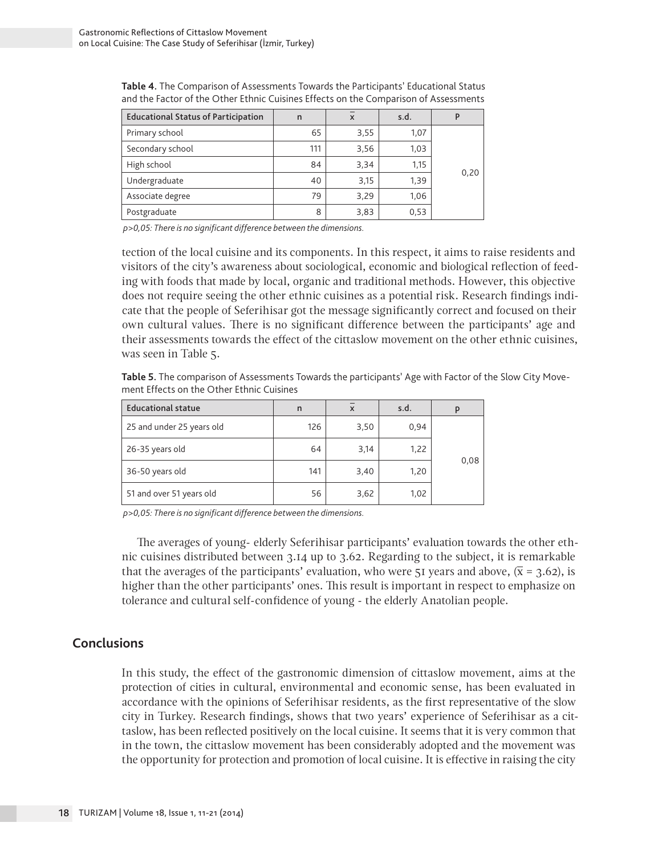| <b>Educational Status of Participation</b> | n   | $\boldsymbol{\mathsf{x}}$ | s.d. |      |
|--------------------------------------------|-----|---------------------------|------|------|
| Primary school                             | 65  | 3,55                      | 1,07 |      |
| Secondary school                           | 111 | 3,56                      | 1,03 |      |
| High school                                | 84  | 3,34                      | 1,15 |      |
| Undergraduate                              | 40  | 3,15                      | 1,39 | 0,20 |
| Associate degree                           | 79  | 3,29                      | 1,06 |      |
| Postgraduate                               | 8   | 3,83                      | 0,53 |      |

**Table 4.** The Comparison of Assessments Towards the Participants' Educational Status and the Factor of the Other Ethnic Cuisines Effects on the Comparison of Assessments

 *p>0,05: There is no significant difference between the dimensions.* 

tection of the local cuisine and its components. In this respect, it aims to raise residents and visitors of the city's awareness about sociological, economic and biological reflection of feeding with foods that made by local, organic and traditional methods. However, this objective does not require seeing the other ethnic cuisines as a potential risk. Research findings indicate that the people of Seferihisar got the message significantly correct and focused on their own cultural values. There is no significant difference between the participants' age and their assessments towards the effect of the cittaslow movement on the other ethnic cuisines, was seen in Table 5.

**Table 5.** The comparison of Assessments Towards the participants' Age with Factor of the Slow City Movement Effects on the Other Ethnic Cuisines

| <b>Educational statue</b> | n   | X    | s.d. | p    |
|---------------------------|-----|------|------|------|
| 25 and under 25 years old | 126 | 3,50 | 0.94 |      |
| 26-35 years old           | 64  | 3,14 | 1,22 |      |
| 36-50 years old           | 141 | 3,40 | 1,20 | 0,08 |
| 51 and over 51 years old  | 56  | 3,62 | 1,02 |      |

 *p>0,05: There is no significant difference between the dimensions.*

The averages of young- elderly Seferihisar participants' evaluation towards the other ethnic cuisines distributed between 3.14 up to 3.62. Regarding to the subject, it is remarkable that the averages of the participants' evaluation, who were 51 years and above,  $(\bar{x} = 3.62)$ , is higher than the other participants' ones. This result is important in respect to emphasize on tolerance and cultural self-confidence of young - the elderly Anatolian people.

#### **Conclusions**

In this study, the effect of the gastronomic dimension of cittaslow movement, aims at the protection of cities in cultural, environmental and economic sense, has been evaluated in accordance with the opinions of Seferihisar residents, as the first representative of the slow city in Turkey. Research findings, shows that two years' experience of Seferihisar as a cittaslow, has been reflected positively on the local cuisine. It seems that it is very common that in the town, the cittaslow movement has been considerably adopted and the movement was the opportunity for protection and promotion of local cuisine. It is effective in raising the city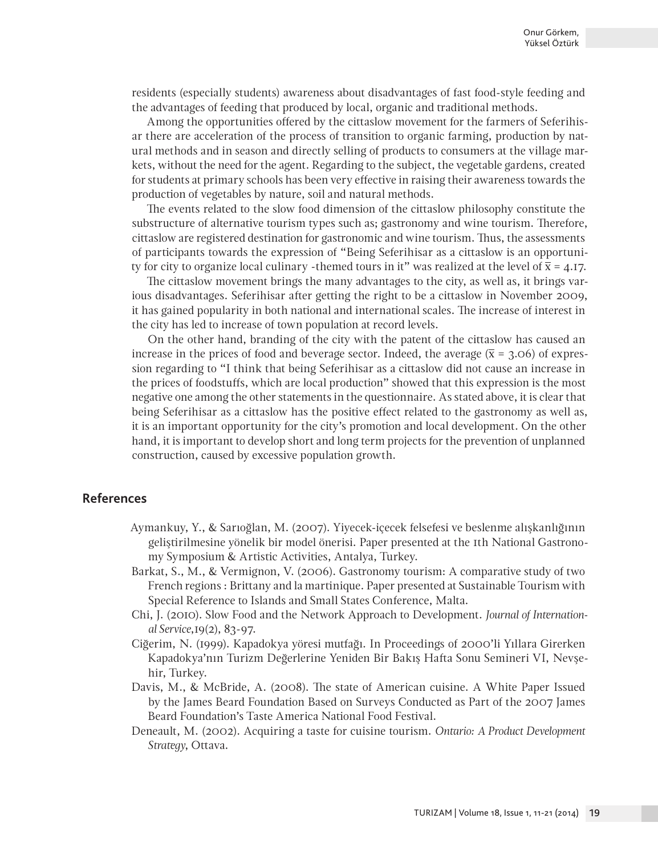residents (especially students) awareness about disadvantages of fast food-style feeding and the advantages of feeding that produced by local, organic and traditional methods.

Among the opportunities offered by the cittaslow movement for the farmers of Seferihisar there are acceleration of the process of transition to organic farming, production by natural methods and in season and directly selling of products to consumers at the village markets, without the need for the agent. Regarding to the subject, the vegetable gardens, created for students at primary schools has been very effective in raising their awareness towards the production of vegetables by nature, soil and natural methods.

The events related to the slow food dimension of the cittaslow philosophy constitute the substructure of alternative tourism types such as; gastronomy and wine tourism. Therefore, cittaslow are registered destination for gastronomic and wine tourism. Thus, the assessments of participants towards the expression of "Being Seferihisar as a cittaslow is an opportunity for city to organize local culinary -themed tours in it" was realized at the level of  $\bar{x} = 4.17$ .

The cittaslow movement brings the many advantages to the city, as well as, it brings various disadvantages. Seferihisar after getting the right to be a cittaslow in November 2009, it has gained popularity in both national and international scales. The increase of interest in the city has led to increase of town population at record levels.

On the other hand, branding of the city with the patent of the cittaslow has caused an increase in the prices of food and beverage sector. Indeed, the average  $(\bar{x} = 3.06)$  of expression regarding to "I think that being Seferihisar as a cittaslow did not cause an increase in the prices of foodstuffs, which are local production" showed that this expression is the most negative one among the other statements in the questionnaire. As stated above, it is clear that being Seferihisar as a cittaslow has the positive effect related to the gastronomy as well as, it is an important opportunity for the city's promotion and local development. On the other hand, it is important to develop short and long term projects for the prevention of unplanned construction, caused by excessive population growth.

## **References**

- Aymankuy, Y., & Sarıoğlan, M. (2007). Yiyecek-içecek felsefesi ve beslenme alışkanlığının geliştirilmesine yönelik bir model önerisi. Paper presented at the 1th National Gastronomy Symposium & Artistic Activities, Antalya, Turkey.
- Barkat, S., M., & Vermignon, V. (2006). Gastronomy tourism: A comparative study of two French regions : Brittany and la martinique. Paper presented at Sustainable Tourism with Special Reference to Islands and Small States Conference, Malta.
- Chi, J. (2010). Slow Food and the Network Approach to Development. *Journal of International Service*,19(2), 83-97.
- Ciğerim, N. (1999). Kapadokya yöresi mutfağı. In Proceedings of 2000'li Yıllara Girerken Kapadokya'nın Turizm Değerlerine Yeniden Bir Bakış Hafta Sonu Semineri VI, Nevşehir, Turkey.
- Davis, M., & McBride, A. (2008). The state of American cuisine. A White Paper Issued by the James Beard Foundation Based on Surveys Conducted as Part of the 2007 James Beard Foundation's Taste America National Food Festival.
- Deneault, M. (2002). Acquiring a taste for cuisine tourism. *Ontario: A Product Development Strategy*, Ottava.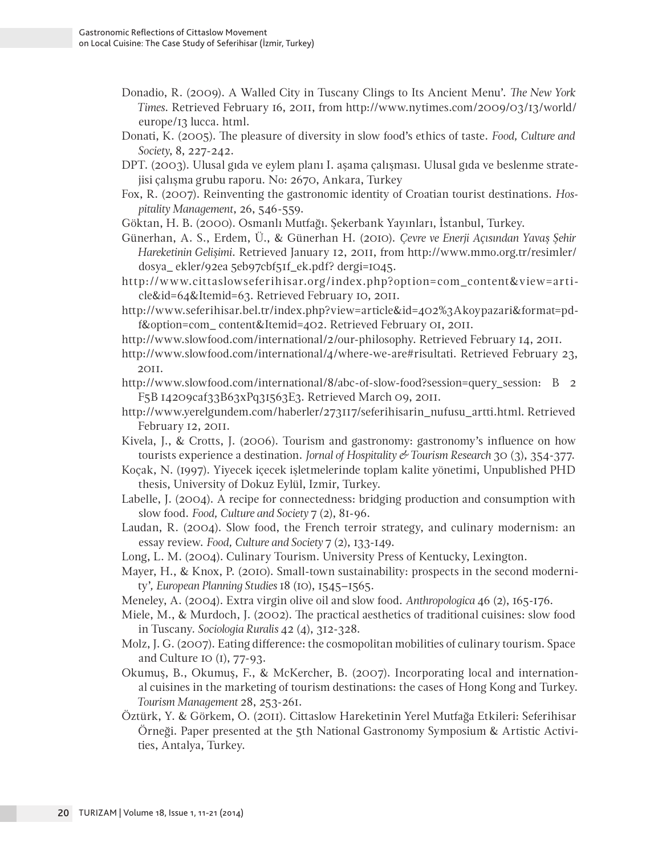- Donadio, R. (2009). A Walled City in Tuscany Clings to Its Ancient Menu'. *The New York Times*. Retrieved February 16, 2011, from http://www.nytimes.com/2009/03/13/world/ europe/13 lucca. html.
- Donati, K. (2005). The pleasure of diversity in slow food's ethics of taste. *Food, Culture and Society*, 8, 227-242.
- DPT. (2003). Ulusal gıda ve eylem planı I. aşama çalışması. Ulusal gıda ve beslenme stratejisi çalışma grubu raporu. No: 2670, Ankara, Turkey
- Fox, R. (2007). Reinventing the gastronomic identity of Croatian tourist destinations. *Hospitality Management*, 26, 546-559.
- Göktan, H. B. (2000). Osmanlı Mutfağı. Şekerbank Yayınları, İstanbul, Turkey.
- Günerhan, A. S., Erdem, Ü., & Günerhan H. (2010). *Çevre ve Enerji Açısından Yavaş Şehir Hareketinin Gelişimi*. Retrieved January 12, 2011, from http://www.mmo.org.tr/resimler/ dosya\_ ekler/92ea 5eb97cbf51f\_ek.pdf? dergi=1045.
- http://www.cittaslowseferihisar.org/index.php?option=com\_content&view=article&id=64&Itemid=63. Retrieved February 10, 2011.
- http://www.seferihisar.bel.tr/index.php?view=article&id=402%3Akoypazari&format=pdf&option=com\_ content&Itemid=402. Retrieved February 01, 2011.
- http://www.slowfood.com/international/2/our-philosophy. Retrieved February 14, 2011.
- http://www.slowfood.com/international/4/where-we-are#risultati. Retrieved February 23, 2011.
- http://www.slowfood.com/international/8/abc-of-slow-food?session=query\_session: B 2 F5B 14209caf33B63xPq31563E3. Retrieved March 09, 2011.
- http://www.yerelgundem.com/haberler/273117/seferihisarin\_nufusu\_artti.html. Retrieved February 12, 2011.
- Kivela, J., & Crotts, J. (2006). Tourism and gastronomy: gastronomy's influence on how tourists experience a destination. *Jornal of Hospitality & Tourism Research* 30 (3), 354-377.
- Koçak, N. (1997). Yiyecek içecek işletmelerinde toplam kalite yönetimi, Unpublished PHD thesis, University of Dokuz Eylül, Izmir, Turkey.
- Labelle, J. (2004). A recipe for connectedness: bridging production and consumption with slow food. *Food, Culture and Society* 7 (2), 81-96.
- Laudan, R. (2004). Slow food, the French terroir strategy, and culinary modernism: an essay review. *Food, Culture and Society* 7 (2), 133-149.
- Long, L. M. (2004). Culinary Tourism. University Press of Kentucky, Lexington.
- Mayer, H., & Knox, P. (2010). Small-town sustainability: prospects in the second modernity'*, European Planning Studies* 18 (10), 1545–1565.
- Meneley, A. (2004). Extra virgin olive oil and slow food. *Anthropologica* 46 (2), 165-176.
- Miele, M., & Murdoch, J. (2002). The practical aesthetics of traditional cuisines: slow food in Tuscany*. Sociologia Ruralis* 42 (4), 312-328.
- Molz, J. G. (2007). Eating difference: the cosmopolitan mobilities of culinary tourism. Space and Culture 10 (1), 77-93.
- Okumuş, B., Okumuş, F., & McKercher, B. (2007). Incorporating local and international cuisines in the marketing of tourism destinations: the cases of Hong Kong and Turkey. *Tourism Management* 28, 253-261.
- Öztürk, Y. & Görkem, O. (2011). Cittaslow Hareketinin Yerel Mutfağa Etkileri: Seferihisar Örneği. Paper presented at the 5th National Gastronomy Symposium & Artistic Activities, Antalya, Turkey.